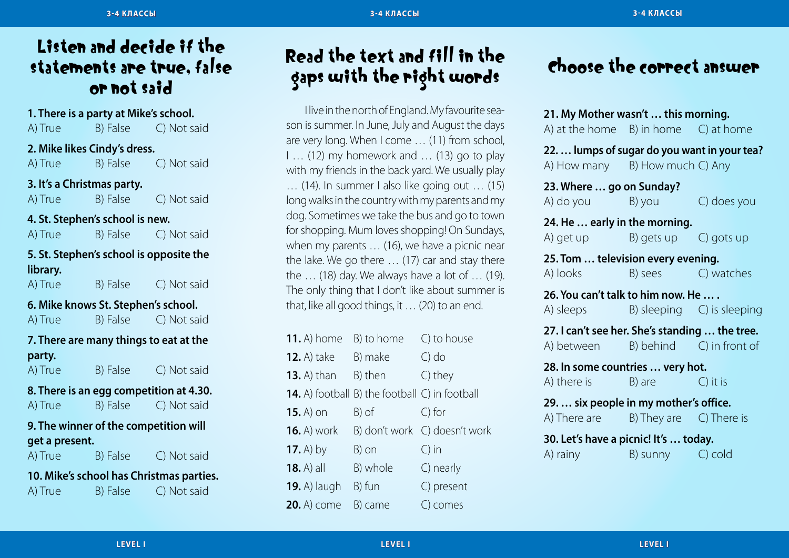### Listen and decide if the statements are true, false or not said

**1. There is a party at Mike's school.** A) True B) False C) Not said **2. Mike likes Cindy's dress.** A) True B) False C) Not said **3. It's a Christmas party.** A) True B) False C) Not said **4. St. Stephen's school is new.** A) True B) False C) Not said **5. St. Stephen's school is opposite the library.**  A) True B) False C) Not said **6. Mike knows St. Stephen's school.** A) True B) False C) Not said

### **7. There are many things to eat at the party.**

A) True B) False C) Not said

#### **8. There is an egg competition at 4.30.** A) True B) False C) Not said

### **9. The winner of the competition will get a present.** A) True B) False C) Not said

### **10. Mike's school has Christmas parties.** A) True B) False C) Not said

Read the text and fill in the gaps with the right words

I live in the north of England. My favourite season is summer. In June, July and August the days are very long. When I come … (11) from school, I … (12) my homework and … (13) go to play with my friends in the back yard. We usually play … (14). In summer I also like going out … (15) long walks in the country with my parents and my dog. Sometimes we take the bus and go to town for shopping. Mum loves shopping! On Sundays, when my parents … (16), we have a picnic near the lake. We go there … (17) car and stay there the … (18) day. We always have a lot of … (19). The only thing that I don't like about summer is that, like all good things, it … (20) to an end.

| <b>11.</b> A) home  | B) to home                                            | C) to house     |
|---------------------|-------------------------------------------------------|-----------------|
| <b>12.</b> A) take  | B) make                                               | $C$ ) do        |
| <b>13.</b> A) than  | B) then                                               | C) they         |
|                     | <b>14.</b> A) football B) the football C) in football |                 |
| $15.$ A) on         | B) of                                                 | C) for          |
| <b>16.</b> A) work  | B) don't work                                         | C) doesn't work |
| 17. A) by           | B) on                                                 | $\bigcirc$ in   |
| $18. A)$ all        | B) whole                                              | C) nearly       |
| <b>19.</b> A) laugh | B) fun                                                | C) present      |
| <b>20.</b> A) come  | B) came                                               | C) comes        |

## Choose the correct answer

| 22.  lumps of sugar do you want in your tea?<br>A) How many B) How much C) Any<br>23. Where  go on Sunday?<br>A) do you B) you<br>C) does you<br>24. He  early in the morning.<br>A) get up B) gets up C) gots up<br>25. Tom  television every evening. | A) at the home $B$ ) in home $C$ ) at home |
|---------------------------------------------------------------------------------------------------------------------------------------------------------------------------------------------------------------------------------------------------------|--------------------------------------------|
|                                                                                                                                                                                                                                                         |                                            |
|                                                                                                                                                                                                                                                         |                                            |
|                                                                                                                                                                                                                                                         |                                            |
| A) looks<br>B) sees C) watches                                                                                                                                                                                                                          |                                            |
| 26. You can't talk to him now. He<br>B) sleeping C) is sleeping<br>A) sleeps                                                                                                                                                                            |                                            |
| 27. I can't see her. She's standing  the tree.<br>A) between B) behind C) in front of                                                                                                                                                                   |                                            |
| 28. In some countries  very hot.<br>A) there is B) are<br>$C$ ) it is                                                                                                                                                                                   |                                            |
| 29.  six people in my mother's office.<br>A) There are $B$ ) They are $C$ ) There is                                                                                                                                                                    |                                            |
| 30. Let's have a picnic! It's  today.<br>B) sunny C) cold<br>A) rainy                                                                                                                                                                                   |                                            |